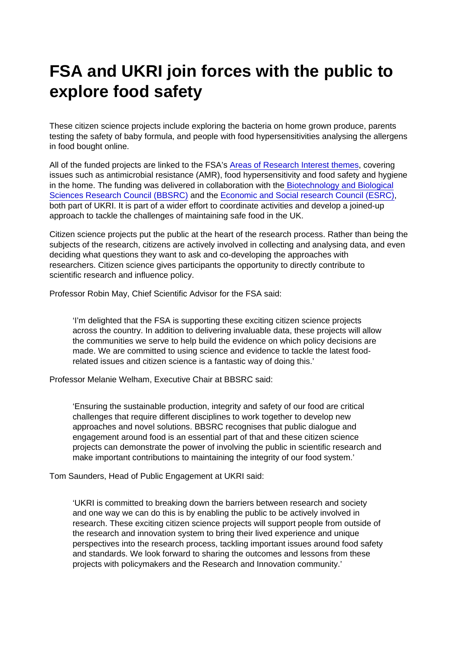## FSA and UKRI join forces with the public to explore food safety

These citizen science projects include exploring the bacteria on home grown produce, parents testing the safety of baby formula, and people with food hypersensitivities analysing the allergens in food bought online.

All of the funded projects are linked to the FSA's [Areas of Research Interest themes](https://www.food.gov.uk/about-us/areas-of-research-interest), covering issues such as antimicrobial resistance (AMR), food hypersensitivity and food safety and hygiene in the home. The funding was delivered in collaboration with th[e Biotechnology and Biological](https://bbsrc.ukri.org/) [Sciences Research Council \(BBSRC\)](https://bbsrc.ukri.org/) and the [Economic and Social research Council \(ESRC\),](https://esrc.ukri.org/) both part of UKRI. It is part of a wider effort to coordinate activities and develop a joined-up approach to tackle the challenges of maintaining safe food in the UK.

Citizen science projects put the public at the heart of the research process. Rather than being the subjects of the research, citizens are actively involved in collecting and analysing data, and even deciding what questions they want to ask and co-developing the approaches with researchers. Citizen science gives participants the opportunity to directly contribute to scientific research and influence policy.

Professor Robin May, Chief Scientific Advisor for the FSA said:

'I'm delighted that the FSA is supporting these exciting citizen science projects across the country. In addition to delivering invaluable data, these projects will allow the communities we serve to help build the evidence on which policy decisions are made. We are committed to using science and evidence to tackle the latest foodrelated issues and citizen science is a fantastic way of doing this.'

Professor Melanie Welham, Executive Chair at BBSRC said:

'Ensuring the sustainable production, integrity and safety of our food are critical challenges that require different disciplines to work together to develop new approaches and novel solutions. BBSRC recognises that public dialogue and engagement around food is an essential part of that and these citizen science projects can demonstrate the power of involving the public in scientific research and make important contributions to maintaining the integrity of our food system.'

Tom Saunders, Head of Public Engagement at UKRI said:

'UKRI is committed to breaking down the barriers between research and society and one way we can do this is by enabling the public to be actively involved in research. These exciting citizen science projects will support people from outside of the research and innovation system to bring their lived experience and unique perspectives into the research process, tackling important issues around food safety and standards. We look forward to sharing the outcomes and lessons from these projects with policymakers and the Research and Innovation community.'